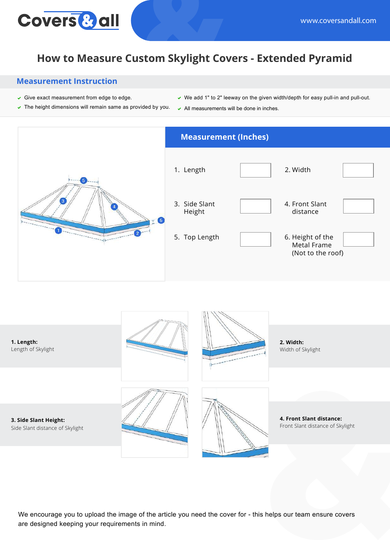# **Covers & all**

## **How to Measure Custom Skylight Covers - Extended Pyramid**

#### **Measurement Instruction**

- $\checkmark$  Give exact measurement from edge to edge.
- $\triangledown$  The height dimensions will remain same as provided by you.
- $\vee$  We add 1" to 2" leeway on the given width/depth for easy pull-in and pull-out.
- $\backsim$  All measurements will be done in inches.





We encourage you to upload the image of the article you need the cover for - this helps our team ensure covers are designed keeping your requirements in mind.